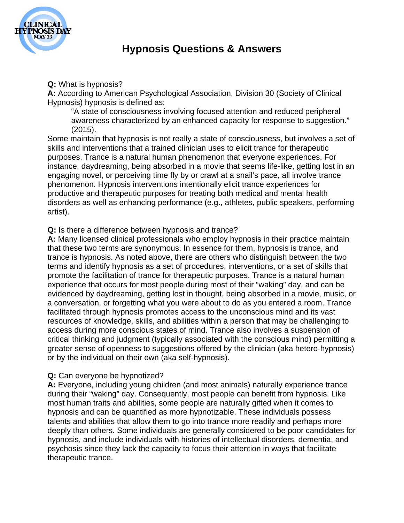

## **Hypnosis Questions & Answers**

**Q:** What is hypnosis?

**A:** According to American Psychological Association, Division 30 (Society of Clinical Hypnosis) hypnosis is defined as:

"A state of consciousness involving focused attention and reduced peripheral awareness characterized by an enhanced capacity for response to suggestion." (2015).

Some maintain that hypnosis is not really a state of consciousness, but involves a set of skills and interventions that a trained clinician uses to elicit trance for therapeutic purposes. Trance is a natural human phenomenon that everyone experiences. For instance, daydreaming, being absorbed in a movie that seems life-like, getting lost in an engaging novel, or perceiving time fly by or crawl at a snail's pace, all involve trance phenomenon. Hypnosis interventions intentionally elicit trance experiences for productive and therapeutic purposes for treating both medical and mental health disorders as well as enhancing performance (e.g., athletes, public speakers, performing artist).

### **Q:** Is there a difference between hypnosis and trance?

**A:** Many licensed clinical professionals who employ hypnosis in their practice maintain that these two terms are synonymous. In essence for them, hypnosis is trance, and trance is hypnosis. As noted above, there are others who distinguish between the two terms and identify hypnosis as a set of procedures, interventions, or a set of skills that promote the facilitation of trance for therapeutic purposes. Trance is a natural human experience that occurs for most people during most of their "waking" day, and can be evidenced by daydreaming, getting lost in thought, being absorbed in a movie, music, or a conversation, or forgetting what you were about to do as you entered a room. Trance facilitated through hypnosis promotes access to the unconscious mind and its vast resources of knowledge, skills, and abilities within a person that may be challenging to access during more conscious states of mind. Trance also involves a suspension of critical thinking and judgment (typically associated with the conscious mind) permitting a greater sense of openness to suggestions offered by the clinician (aka hetero-hypnosis) or by the individual on their own (aka self-hypnosis).

### **Q:** Can everyone be hypnotized?

**A:** Everyone, including young children (and most animals) naturally experience trance during their "waking" day. Consequently, most people can benefit from hypnosis. Like most human traits and abilities, some people are naturally gifted when it comes to hypnosis and can be quantified as more hypnotizable. These individuals possess talents and abilities that allow them to go into trance more readily and perhaps more deeply than others. Some individuals are generally considered to be poor candidates for hypnosis, and include individuals with histories of intellectual disorders, dementia, and psychosis since they lack the capacity to focus their attention in ways that facilitate therapeutic trance.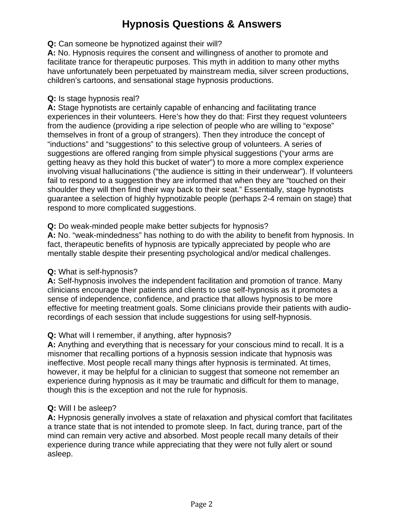# **Hypnosis Questions & Answers**

#### **Q:** Can someone be hypnotized against their will?

**A:** No. Hypnosis requires the consent and willingness of another to promote and facilitate trance for therapeutic purposes. This myth in addition to many other myths have unfortunately been perpetuated by mainstream media, silver screen productions, children's cartoons, and sensational stage hypnosis productions.

#### **Q:** Is stage hypnosis real?

**A:** Stage hypnotists are certainly capable of enhancing and facilitating trance experiences in their volunteers. Here's how they do that: First they request volunteers from the audience (providing a ripe selection of people who are willing to "expose" themselves in front of a group of strangers). Then they introduce the concept of "inductions" and "suggestions" to this selective group of volunteers. A series of suggestions are offered ranging from simple physical suggestions ("your arms are getting heavy as they hold this bucket of water") to more a more complex experience involving visual hallucinations ("the audience is sitting in their underwear"). If volunteers fail to respond to a suggestion they are informed that when they are "touched on their shoulder they will then find their way back to their seat." Essentially, stage hypnotists guarantee a selection of highly hypnotizable people (perhaps 2-4 remain on stage) that respond to more complicated suggestions.

### **Q:** Do weak-minded people make better subjects for hypnosis?

**A:** No. "weak-mindedness" has nothing to do with the ability to benefit from hypnosis. In fact, therapeutic benefits of hypnosis are typically appreciated by people who are mentally stable despite their presenting psychological and/or medical challenges.

### **Q:** What is self-hypnosis?

**A:** Self-hypnosis involves the independent facilitation and promotion of trance. Many clinicians encourage their patients and clients to use self-hypnosis as it promotes a sense of independence, confidence, and practice that allows hypnosis to be more effective for meeting treatment goals. Some clinicians provide their patients with audiorecordings of each session that include suggestions for using self-hypnosis.

## **Q:** What will I remember, if anything, after hypnosis?

**A:** Anything and everything that is necessary for your conscious mind to recall. It is a misnomer that recalling portions of a hypnosis session indicate that hypnosis was ineffective. Most people recall many things after hypnosis is terminated. At times, however, it may be helpful for a clinician to suggest that someone not remember an experience during hypnosis as it may be traumatic and difficult for them to manage, though this is the exception and not the rule for hypnosis.

### **Q:** Will I be asleep?

**A:** Hypnosis generally involves a state of relaxation and physical comfort that facilitates a trance state that is not intended to promote sleep. In fact, during trance, part of the mind can remain very active and absorbed. Most people recall many details of their experience during trance while appreciating that they were not fully alert or sound asleep.